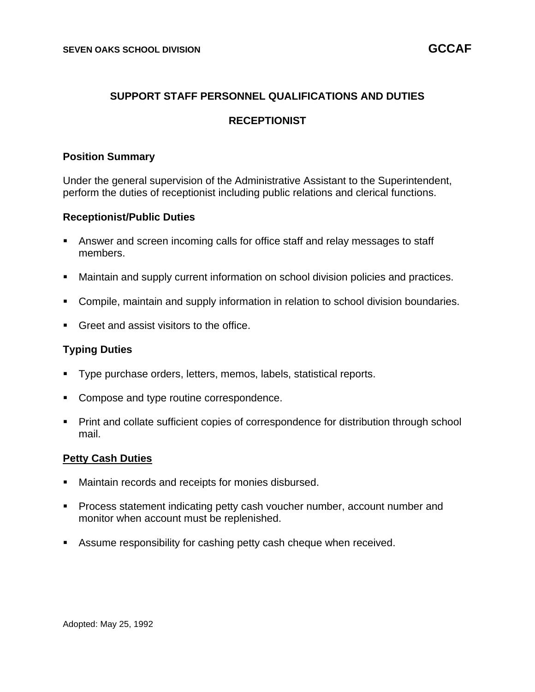# **SUPPORT STAFF PERSONNEL QUALIFICATIONS AND DUTIES**

## **RECEPTIONIST**

#### **Position Summary**

Under the general supervision of the Administrative Assistant to the Superintendent, perform the duties of receptionist including public relations and clerical functions.

#### **Receptionist/Public Duties**

- Answer and screen incoming calls for office staff and relay messages to staff members.
- Maintain and supply current information on school division policies and practices.
- Compile, maintain and supply information in relation to school division boundaries.
- Greet and assist visitors to the office.

### **Typing Duties**

- Type purchase orders, letters, memos, labels, statistical reports.
- Compose and type routine correspondence.
- Print and collate sufficient copies of correspondence for distribution through school mail.

### **Petty Cash Duties**

- Maintain records and receipts for monies disbursed.
- Process statement indicating petty cash voucher number, account number and monitor when account must be replenished.
- Assume responsibility for cashing petty cash cheque when received.